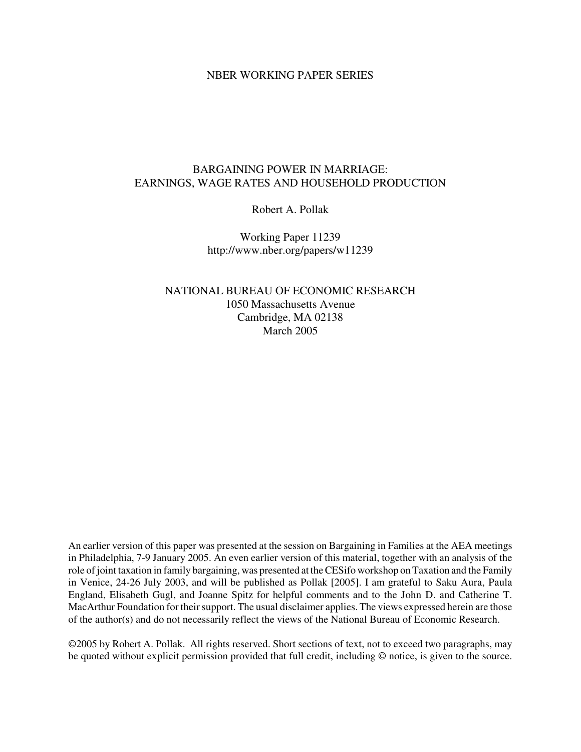#### NBER WORKING PAPER SERIES

## BARGAINING POWER IN MARRIAGE: EARNINGS, WAGE RATES AND HOUSEHOLD PRODUCTION

Robert A. Pollak

Working Paper 11239 http://www.nber.org/papers/w11239

NATIONAL BUREAU OF ECONOMIC RESEARCH 1050 Massachusetts Avenue Cambridge, MA 02138 March 2005

An earlier version of this paper was presented at the session on Bargaining in Families at the AEA meetings in Philadelphia, 7-9 January 2005. An even earlier version of this material, together with an analysis of the role of joint taxation in family bargaining, was presented at the CESifo workshop on Taxation and the Family in Venice, 24-26 July 2003, and will be published as Pollak [2005]. I am grateful to Saku Aura, Paula England, Elisabeth Gugl, and Joanne Spitz for helpful comments and to the John D. and Catherine T. MacArthur Foundation for their support. The usual disclaimer applies. The views expressed herein are those of the author(s) and do not necessarily reflect the views of the National Bureau of Economic Research.

©2005 by Robert A. Pollak. All rights reserved. Short sections of text, not to exceed two paragraphs, may be quoted without explicit permission provided that full credit, including © notice, is given to the source.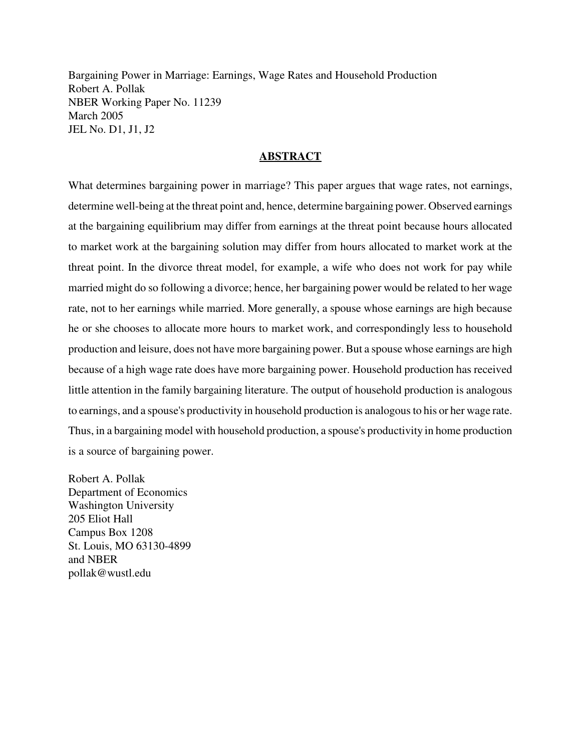Bargaining Power in Marriage: Earnings, Wage Rates and Household Production Robert A. Pollak NBER Working Paper No. 11239 March 2005 JEL No. D1, J1, J2

## **ABSTRACT**

What determines bargaining power in marriage? This paper argues that wage rates, not earnings, determine well-being at the threat point and, hence, determine bargaining power. Observed earnings at the bargaining equilibrium may differ from earnings at the threat point because hours allocated to market work at the bargaining solution may differ from hours allocated to market work at the threat point. In the divorce threat model, for example, a wife who does not work for pay while married might do so following a divorce; hence, her bargaining power would be related to her wage rate, not to her earnings while married. More generally, a spouse whose earnings are high because he or she chooses to allocate more hours to market work, and correspondingly less to household production and leisure, does not have more bargaining power. But a spouse whose earnings are high because of a high wage rate does have more bargaining power. Household production has received little attention in the family bargaining literature. The output of household production is analogous to earnings, and a spouse's productivity in household production is analogousto his or her wage rate. Thus, in a bargaining model with household production, a spouse's productivity in home production is a source of bargaining power.

Robert A. Pollak Department of Economics Washington University 205 Eliot Hall Campus Box 1208 St. Louis, MO 63130-4899 and NBER pollak@wustl.edu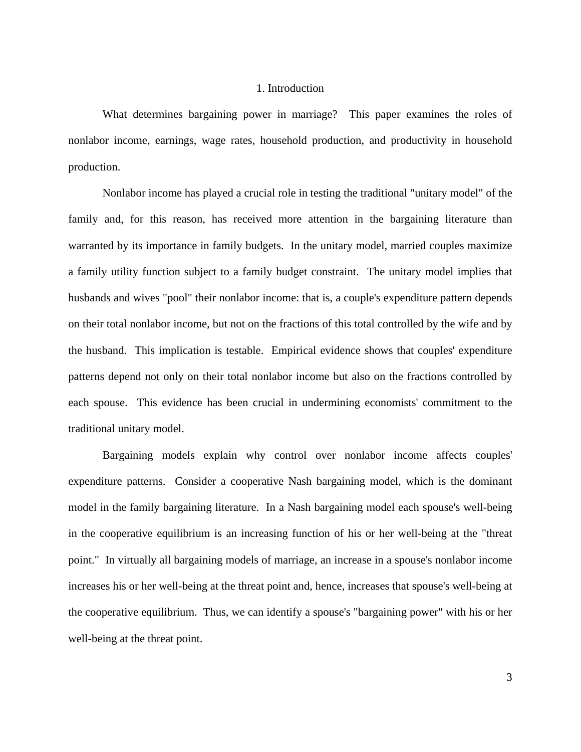## 1. Introduction

What determines bargaining power in marriage? This paper examines the roles of nonlabor income, earnings, wage rates, household production, and productivity in household production.

Nonlabor income has played a crucial role in testing the traditional "unitary model" of the family and, for this reason, has received more attention in the bargaining literature than warranted by its importance in family budgets. In the unitary model, married couples maximize a family utility function subject to a family budget constraint. The unitary model implies that husbands and wives "pool" their nonlabor income: that is, a couple's expenditure pattern depends on their total nonlabor income, but not on the fractions of this total controlled by the wife and by the husband. This implication is testable. Empirical evidence shows that couples' expenditure patterns depend not only on their total nonlabor income but also on the fractions controlled by each spouse. This evidence has been crucial in undermining economists' commitment to the traditional unitary model.

Bargaining models explain why control over nonlabor income affects couples' expenditure patterns. Consider a cooperative Nash bargaining model, which is the dominant model in the family bargaining literature. In a Nash bargaining model each spouse's well-being in the cooperative equilibrium is an increasing function of his or her well-being at the "threat point." In virtually all bargaining models of marriage, an increase in a spouse's nonlabor income increases his or her well-being at the threat point and, hence, increases that spouse's well-being at the cooperative equilibrium. Thus, we can identify a spouse's "bargaining power" with his or her well-being at the threat point.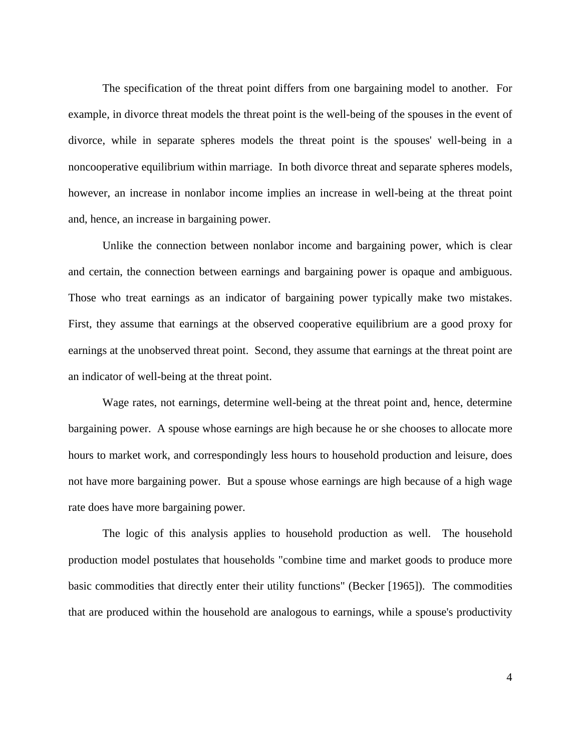The specification of the threat point differs from one bargaining model to another. For example, in divorce threat models the threat point is the well-being of the spouses in the event of divorce, while in separate spheres models the threat point is the spouses' well-being in a noncooperative equilibrium within marriage. In both divorce threat and separate spheres models, however, an increase in nonlabor income implies an increase in well-being at the threat point and, hence, an increase in bargaining power.

Unlike the connection between nonlabor income and bargaining power, which is clear and certain, the connection between earnings and bargaining power is opaque and ambiguous. Those who treat earnings as an indicator of bargaining power typically make two mistakes. First, they assume that earnings at the observed cooperative equilibrium are a good proxy for earnings at the unobserved threat point. Second, they assume that earnings at the threat point are an indicator of well-being at the threat point.

Wage rates, not earnings, determine well-being at the threat point and, hence, determine bargaining power. A spouse whose earnings are high because he or she chooses to allocate more hours to market work, and correspondingly less hours to household production and leisure, does not have more bargaining power. But a spouse whose earnings are high because of a high wage rate does have more bargaining power.

The logic of this analysis applies to household production as well. The household production model postulates that households "combine time and market goods to produce more basic commodities that directly enter their utility functions" (Becker [1965]). The commodities that are produced within the household are analogous to earnings, while a spouse's productivity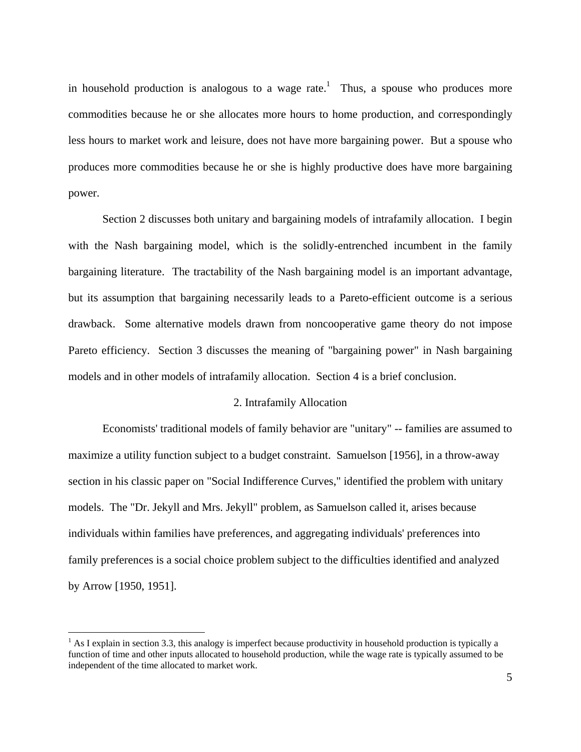in household production is analogous to a wage rate.<sup>1</sup> Thus, a spouse who produces more commodities because he or she allocates more hours to home production, and correspondingly less hours to market work and leisure, does not have more bargaining power. But a spouse who produces more commodities because he or she is highly productive does have more bargaining power.

Section 2 discusses both unitary and bargaining models of intrafamily allocation. I begin with the Nash bargaining model, which is the solidly-entrenched incumbent in the family bargaining literature. The tractability of the Nash bargaining model is an important advantage, but its assumption that bargaining necessarily leads to a Pareto-efficient outcome is a serious drawback. Some alternative models drawn from noncooperative game theory do not impose Pareto efficiency. Section 3 discusses the meaning of "bargaining power" in Nash bargaining models and in other models of intrafamily allocation. Section 4 is a brief conclusion.

#### 2. Intrafamily Allocation

Economists' traditional models of family behavior are "unitary" -- families are assumed to maximize a utility function subject to a budget constraint. Samuelson [1956], in a throw-away section in his classic paper on "Social Indifference Curves," identified the problem with unitary models. The "Dr. Jekyll and Mrs. Jekyll" problem, as Samuelson called it, arises because individuals within families have preferences, and aggregating individuals' preferences into family preferences is a social choice problem subject to the difficulties identified and analyzed by Arrow [1950, 1951].

 $<sup>1</sup>$  As I explain in section 3.3, this analogy is imperfect because productivity in household production is typically a</sup> function of time and other inputs allocated to household production, while the wage rate is typically assumed to be independent of the time allocated to market work.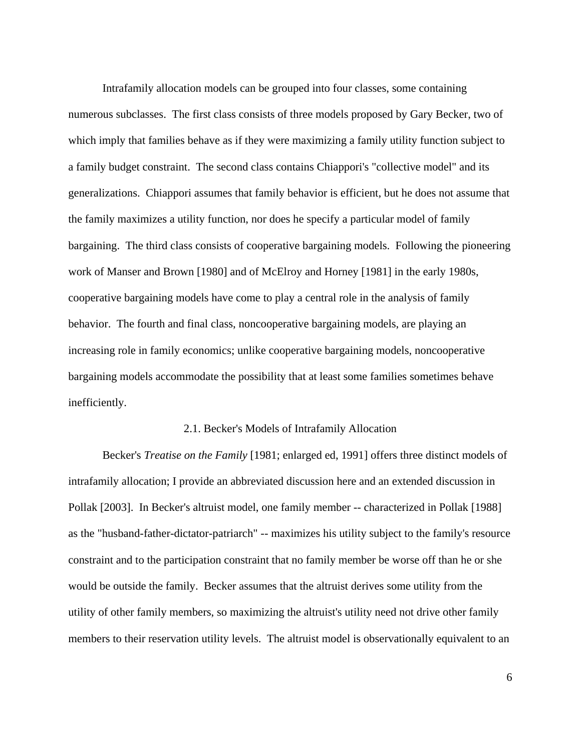Intrafamily allocation models can be grouped into four classes, some containing numerous subclasses. The first class consists of three models proposed by Gary Becker, two of which imply that families behave as if they were maximizing a family utility function subject to a family budget constraint. The second class contains Chiappori's "collective model" and its generalizations. Chiappori assumes that family behavior is efficient, but he does not assume that the family maximizes a utility function, nor does he specify a particular model of family bargaining. The third class consists of cooperative bargaining models. Following the pioneering work of Manser and Brown [1980] and of McElroy and Horney [1981] in the early 1980s, cooperative bargaining models have come to play a central role in the analysis of family behavior. The fourth and final class, noncooperative bargaining models, are playing an increasing role in family economics; unlike cooperative bargaining models, noncooperative bargaining models accommodate the possibility that at least some families sometimes behave inefficiently.

## 2.1. Becker's Models of Intrafamily Allocation

Becker's *Treatise on the Family* [1981; enlarged ed, 1991] offers three distinct models of intrafamily allocation; I provide an abbreviated discussion here and an extended discussion in Pollak [2003]. In Becker's altruist model, one family member -- characterized in Pollak [1988] as the "husband-father-dictator-patriarch" -- maximizes his utility subject to the family's resource constraint and to the participation constraint that no family member be worse off than he or she would be outside the family. Becker assumes that the altruist derives some utility from the utility of other family members, so maximizing the altruist's utility need not drive other family members to their reservation utility levels. The altruist model is observationally equivalent to an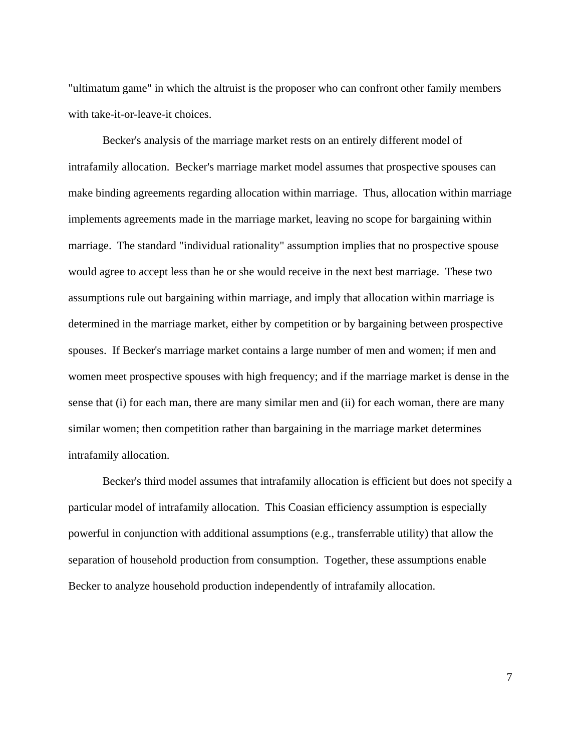"ultimatum game" in which the altruist is the proposer who can confront other family members with take-it-or-leave-it choices.

Becker's analysis of the marriage market rests on an entirely different model of intrafamily allocation. Becker's marriage market model assumes that prospective spouses can make binding agreements regarding allocation within marriage. Thus, allocation within marriage implements agreements made in the marriage market, leaving no scope for bargaining within marriage. The standard "individual rationality" assumption implies that no prospective spouse would agree to accept less than he or she would receive in the next best marriage. These two assumptions rule out bargaining within marriage, and imply that allocation within marriage is determined in the marriage market, either by competition or by bargaining between prospective spouses. If Becker's marriage market contains a large number of men and women; if men and women meet prospective spouses with high frequency; and if the marriage market is dense in the sense that (i) for each man, there are many similar men and (ii) for each woman, there are many similar women; then competition rather than bargaining in the marriage market determines intrafamily allocation.

Becker's third model assumes that intrafamily allocation is efficient but does not specify a particular model of intrafamily allocation. This Coasian efficiency assumption is especially powerful in conjunction with additional assumptions (e.g., transferrable utility) that allow the separation of household production from consumption. Together, these assumptions enable Becker to analyze household production independently of intrafamily allocation.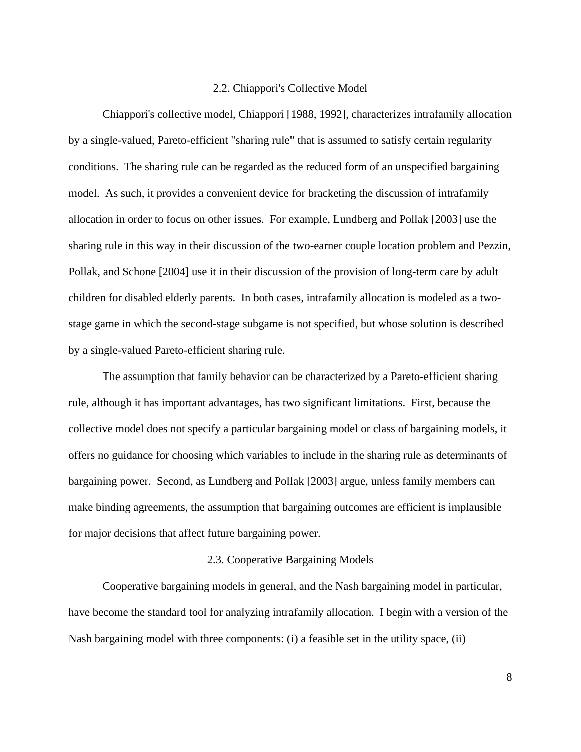#### 2.2. Chiappori's Collective Model

Chiappori's collective model, Chiappori [1988, 1992], characterizes intrafamily allocation by a single-valued, Pareto-efficient "sharing rule" that is assumed to satisfy certain regularity conditions. The sharing rule can be regarded as the reduced form of an unspecified bargaining model. As such, it provides a convenient device for bracketing the discussion of intrafamily allocation in order to focus on other issues. For example, Lundberg and Pollak [2003] use the sharing rule in this way in their discussion of the two-earner couple location problem and Pezzin, Pollak, and Schone [2004] use it in their discussion of the provision of long-term care by adult children for disabled elderly parents. In both cases, intrafamily allocation is modeled as a twostage game in which the second-stage subgame is not specified, but whose solution is described by a single-valued Pareto-efficient sharing rule.

The assumption that family behavior can be characterized by a Pareto-efficient sharing rule, although it has important advantages, has two significant limitations. First, because the collective model does not specify a particular bargaining model or class of bargaining models, it offers no guidance for choosing which variables to include in the sharing rule as determinants of bargaining power. Second, as Lundberg and Pollak [2003] argue, unless family members can make binding agreements, the assumption that bargaining outcomes are efficient is implausible for major decisions that affect future bargaining power.

#### 2.3. Cooperative Bargaining Models

Cooperative bargaining models in general, and the Nash bargaining model in particular, have become the standard tool for analyzing intrafamily allocation. I begin with a version of the Nash bargaining model with three components: (i) a feasible set in the utility space, (ii)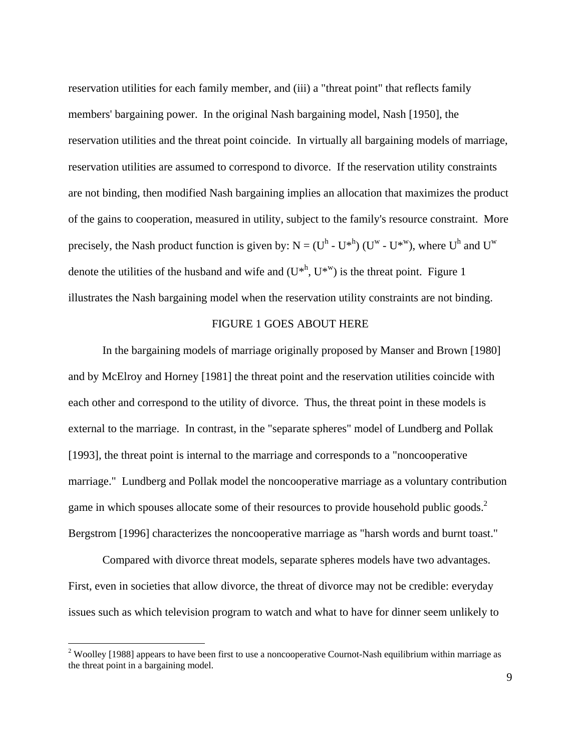reservation utilities for each family member, and (iii) a "threat point" that reflects family members' bargaining power. In the original Nash bargaining model, Nash [1950], the reservation utilities and the threat point coincide. In virtually all bargaining models of marriage, reservation utilities are assumed to correspond to divorce. If the reservation utility constraints are not binding, then modified Nash bargaining implies an allocation that maximizes the product of the gains to cooperation, measured in utility, subject to the family's resource constraint. More precisely, the Nash product function is given by:  $N = (U^h \cdot U^{*h}) (U^w \cdot U^{*w})$ , where  $U^h$  and  $U^w$ denote the utilities of the husband and wife and  $(U^{*h}, U^{*w})$  is the threat point. Figure 1 illustrates the Nash bargaining model when the reservation utility constraints are not binding.

## FIGURE 1 GOES ABOUT HERE

In the bargaining models of marriage originally proposed by Manser and Brown [1980] and by McElroy and Horney [1981] the threat point and the reservation utilities coincide with each other and correspond to the utility of divorce. Thus, the threat point in these models is external to the marriage. In contrast, in the "separate spheres" model of Lundberg and Pollak [1993], the threat point is internal to the marriage and corresponds to a "noncooperative marriage." Lundberg and Pollak model the noncooperative marriage as a voluntary contribution game in which spouses allocate some of their resources to provide household public goods.<sup>2</sup> Bergstrom [1996] characterizes the noncooperative marriage as "harsh words and burnt toast."

Compared with divorce threat models, separate spheres models have two advantages. First, even in societies that allow divorce, the threat of divorce may not be credible: everyday issues such as which television program to watch and what to have for dinner seem unlikely to

<sup>&</sup>lt;sup>2</sup> Woolley [1988] appears to have been first to use a noncooperative Cournot-Nash equilibrium within marriage as the threat point in a bargaining model.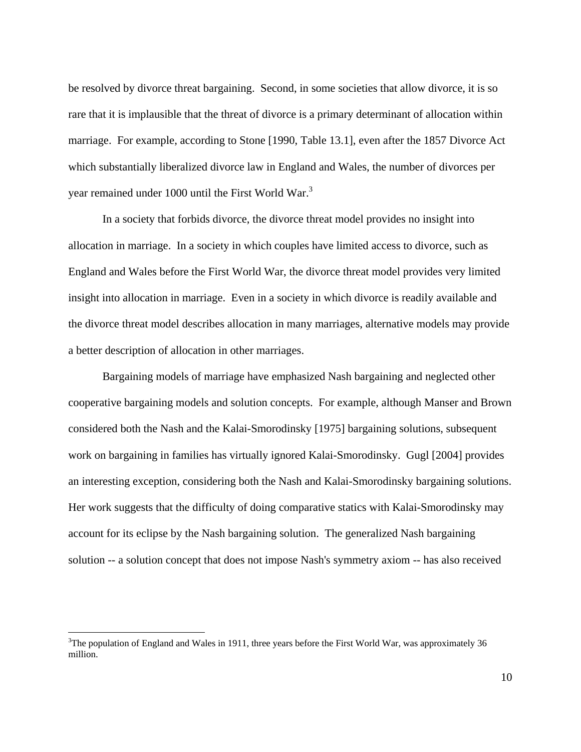be resolved by divorce threat bargaining. Second, in some societies that allow divorce, it is so rare that it is implausible that the threat of divorce is a primary determinant of allocation within marriage. For example, according to Stone [1990, Table 13.1], even after the 1857 Divorce Act which substantially liberalized divorce law in England and Wales, the number of divorces per year remained under 1000 until the First World War.<sup>3</sup>

In a society that forbids divorce, the divorce threat model provides no insight into allocation in marriage. In a society in which couples have limited access to divorce, such as England and Wales before the First World War, the divorce threat model provides very limited insight into allocation in marriage. Even in a society in which divorce is readily available and the divorce threat model describes allocation in many marriages, alternative models may provide a better description of allocation in other marriages.

Bargaining models of marriage have emphasized Nash bargaining and neglected other cooperative bargaining models and solution concepts. For example, although Manser and Brown considered both the Nash and the Kalai-Smorodinsky [1975] bargaining solutions, subsequent work on bargaining in families has virtually ignored Kalai-Smorodinsky. Gugl [2004] provides an interesting exception, considering both the Nash and Kalai-Smorodinsky bargaining solutions. Her work suggests that the difficulty of doing comparative statics with Kalai-Smorodinsky may account for its eclipse by the Nash bargaining solution. The generalized Nash bargaining solution -- a solution concept that does not impose Nash's symmetry axiom -- has also received

<u>.</u>

 $3$ The population of England and Wales in 1911, three years before the First World War, was approximately 36 million.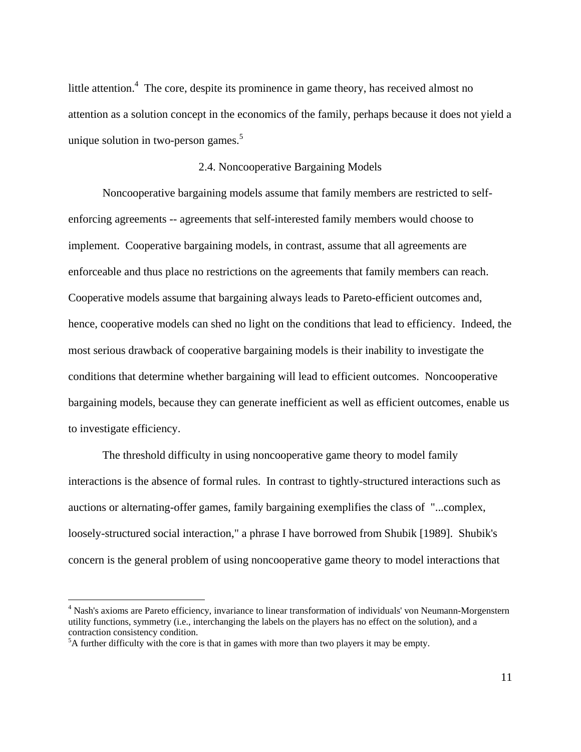little attention.<sup>4</sup> The core, despite its prominence in game theory, has received almost no attention as a solution concept in the economics of the family, perhaps because it does not yield a unique solution in two-person games.<sup>5</sup>

## 2.4. Noncooperative Bargaining Models

Noncooperative bargaining models assume that family members are restricted to selfenforcing agreements -- agreements that self-interested family members would choose to implement. Cooperative bargaining models, in contrast, assume that all agreements are enforceable and thus place no restrictions on the agreements that family members can reach. Cooperative models assume that bargaining always leads to Pareto-efficient outcomes and, hence, cooperative models can shed no light on the conditions that lead to efficiency. Indeed, the most serious drawback of cooperative bargaining models is their inability to investigate the conditions that determine whether bargaining will lead to efficient outcomes. Noncooperative bargaining models, because they can generate inefficient as well as efficient outcomes, enable us to investigate efficiency.

The threshold difficulty in using noncooperative game theory to model family interactions is the absence of formal rules. In contrast to tightly-structured interactions such as auctions or alternating-offer games, family bargaining exemplifies the class of "...complex, loosely-structured social interaction," a phrase I have borrowed from Shubik [1989]. Shubik's concern is the general problem of using noncooperative game theory to model interactions that

<sup>&</sup>lt;sup>4</sup> Nash's axioms are Pareto efficiency, invariance to linear transformation of individuals' von Neumann-Morgenstern utility functions, symmetry (i.e., interchanging the labels on the players has no effect on the solution), and a contraction consistency condition.

 ${}^{5}$ A further difficulty with the core is that in games with more than two players it may be empty.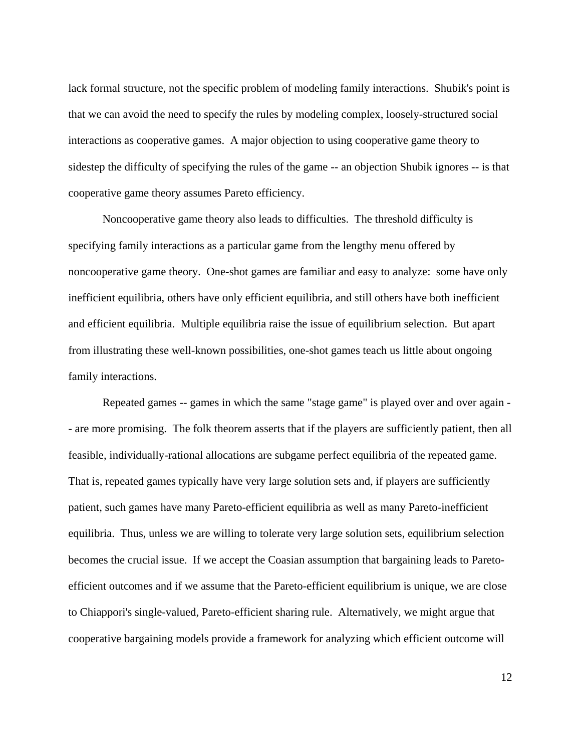lack formal structure, not the specific problem of modeling family interactions. Shubik's point is that we can avoid the need to specify the rules by modeling complex, loosely-structured social interactions as cooperative games. A major objection to using cooperative game theory to sidestep the difficulty of specifying the rules of the game -- an objection Shubik ignores -- is that cooperative game theory assumes Pareto efficiency.

Noncooperative game theory also leads to difficulties. The threshold difficulty is specifying family interactions as a particular game from the lengthy menu offered by noncooperative game theory. One-shot games are familiar and easy to analyze: some have only inefficient equilibria, others have only efficient equilibria, and still others have both inefficient and efficient equilibria. Multiple equilibria raise the issue of equilibrium selection. But apart from illustrating these well-known possibilities, one-shot games teach us little about ongoing family interactions.

Repeated games -- games in which the same "stage game" is played over and over again - - are more promising. The folk theorem asserts that if the players are sufficiently patient, then all feasible, individually-rational allocations are subgame perfect equilibria of the repeated game. That is, repeated games typically have very large solution sets and, if players are sufficiently patient, such games have many Pareto-efficient equilibria as well as many Pareto-inefficient equilibria. Thus, unless we are willing to tolerate very large solution sets, equilibrium selection becomes the crucial issue. If we accept the Coasian assumption that bargaining leads to Paretoefficient outcomes and if we assume that the Pareto-efficient equilibrium is unique, we are close to Chiappori's single-valued, Pareto-efficient sharing rule. Alternatively, we might argue that cooperative bargaining models provide a framework for analyzing which efficient outcome will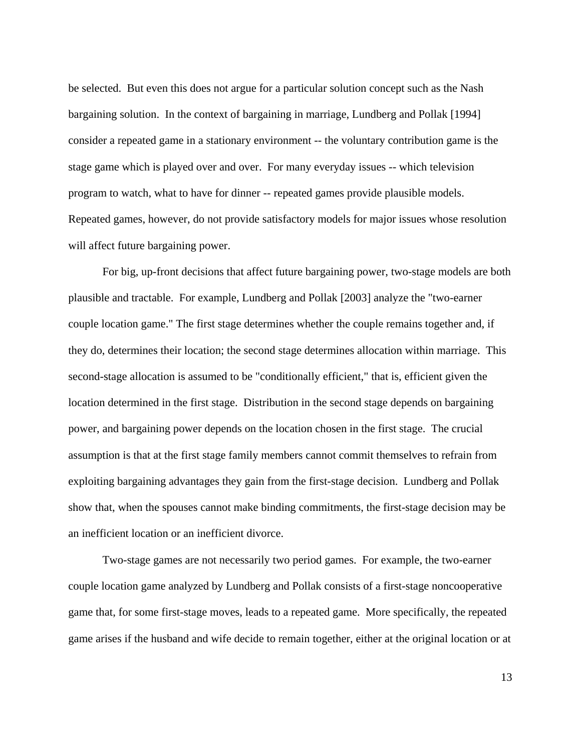be selected. But even this does not argue for a particular solution concept such as the Nash bargaining solution. In the context of bargaining in marriage, Lundberg and Pollak [1994] consider a repeated game in a stationary environment -- the voluntary contribution game is the stage game which is played over and over. For many everyday issues -- which television program to watch, what to have for dinner -- repeated games provide plausible models. Repeated games, however, do not provide satisfactory models for major issues whose resolution will affect future bargaining power.

For big, up-front decisions that affect future bargaining power, two-stage models are both plausible and tractable. For example, Lundberg and Pollak [2003] analyze the "two-earner couple location game." The first stage determines whether the couple remains together and, if they do, determines their location; the second stage determines allocation within marriage. This second-stage allocation is assumed to be "conditionally efficient," that is, efficient given the location determined in the first stage. Distribution in the second stage depends on bargaining power, and bargaining power depends on the location chosen in the first stage. The crucial assumption is that at the first stage family members cannot commit themselves to refrain from exploiting bargaining advantages they gain from the first-stage decision. Lundberg and Pollak show that, when the spouses cannot make binding commitments, the first-stage decision may be an inefficient location or an inefficient divorce.

Two-stage games are not necessarily two period games. For example, the two-earner couple location game analyzed by Lundberg and Pollak consists of a first-stage noncooperative game that, for some first-stage moves, leads to a repeated game. More specifically, the repeated game arises if the husband and wife decide to remain together, either at the original location or at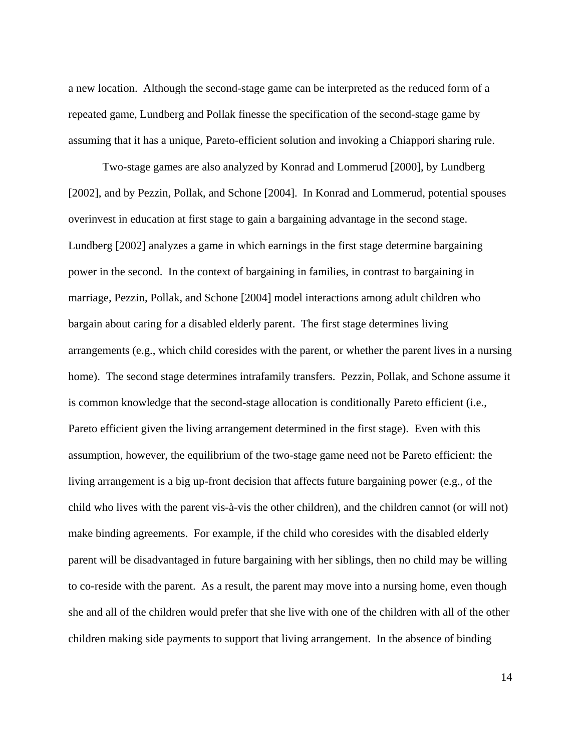a new location. Although the second-stage game can be interpreted as the reduced form of a repeated game, Lundberg and Pollak finesse the specification of the second-stage game by assuming that it has a unique, Pareto-efficient solution and invoking a Chiappori sharing rule.

Two-stage games are also analyzed by Konrad and Lommerud [2000], by Lundberg [2002], and by Pezzin, Pollak, and Schone [2004]. In Konrad and Lommerud, potential spouses overinvest in education at first stage to gain a bargaining advantage in the second stage. Lundberg [2002] analyzes a game in which earnings in the first stage determine bargaining power in the second. In the context of bargaining in families, in contrast to bargaining in marriage, Pezzin, Pollak, and Schone [2004] model interactions among adult children who bargain about caring for a disabled elderly parent. The first stage determines living arrangements (e.g., which child coresides with the parent, or whether the parent lives in a nursing home). The second stage determines intrafamily transfers. Pezzin, Pollak, and Schone assume it is common knowledge that the second-stage allocation is conditionally Pareto efficient (i.e., Pareto efficient given the living arrangement determined in the first stage). Even with this assumption, however, the equilibrium of the two-stage game need not be Pareto efficient: the living arrangement is a big up-front decision that affects future bargaining power (e.g., of the child who lives with the parent vis-à-vis the other children), and the children cannot (or will not) make binding agreements. For example, if the child who coresides with the disabled elderly parent will be disadvantaged in future bargaining with her siblings, then no child may be willing to co-reside with the parent. As a result, the parent may move into a nursing home, even though she and all of the children would prefer that she live with one of the children with all of the other children making side payments to support that living arrangement. In the absence of binding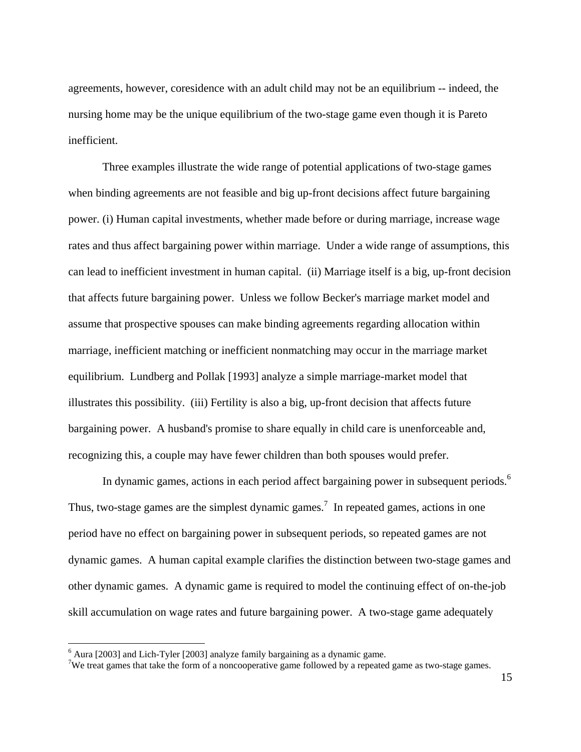agreements, however, coresidence with an adult child may not be an equilibrium -- indeed, the nursing home may be the unique equilibrium of the two-stage game even though it is Pareto inefficient.

Three examples illustrate the wide range of potential applications of two-stage games when binding agreements are not feasible and big up-front decisions affect future bargaining power. (i) Human capital investments, whether made before or during marriage, increase wage rates and thus affect bargaining power within marriage. Under a wide range of assumptions, this can lead to inefficient investment in human capital. (ii) Marriage itself is a big, up-front decision that affects future bargaining power. Unless we follow Becker's marriage market model and assume that prospective spouses can make binding agreements regarding allocation within marriage, inefficient matching or inefficient nonmatching may occur in the marriage market equilibrium. Lundberg and Pollak [1993] analyze a simple marriage-market model that illustrates this possibility. (iii) Fertility is also a big, up-front decision that affects future bargaining power. A husband's promise to share equally in child care is unenforceable and, recognizing this, a couple may have fewer children than both spouses would prefer.

In dynamic games, actions in each period affect bargaining power in subsequent periods. $<sup>6</sup>$ </sup> Thus, two-stage games are the simplest dynamic games.<sup>7</sup> In repeated games, actions in one period have no effect on bargaining power in subsequent periods, so repeated games are not dynamic games. A human capital example clarifies the distinction between two-stage games and other dynamic games. A dynamic game is required to model the continuing effect of on-the-job skill accumulation on wage rates and future bargaining power. A two-stage game adequately

 $^{6}$  Aura [2003] and Lich-Tyler [2003] analyze family bargaining as a dynamic game.<br><sup>7</sup>We treat games that take the form of a nonconnective game followed by a reported

<sup>&</sup>lt;sup>7</sup>We treat games that take the form of a noncooperative game followed by a repeated game as two-stage games.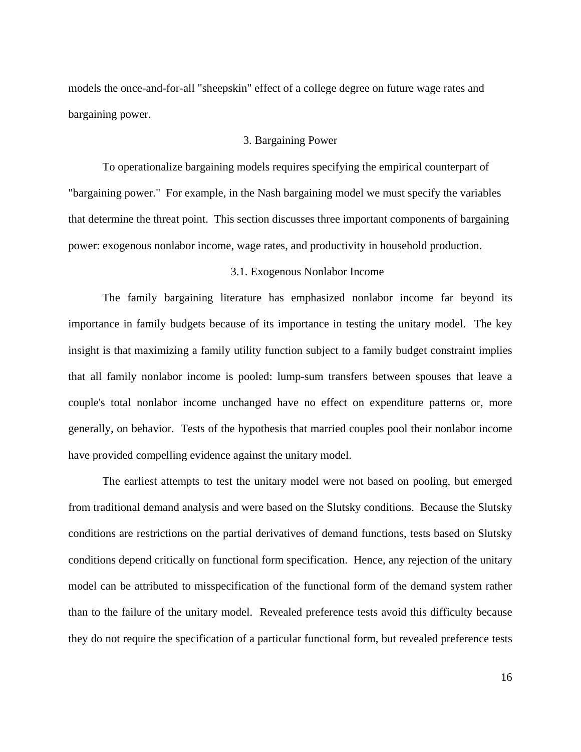models the once-and-for-all "sheepskin" effect of a college degree on future wage rates and bargaining power.

## 3. Bargaining Power

To operationalize bargaining models requires specifying the empirical counterpart of "bargaining power." For example, in the Nash bargaining model we must specify the variables that determine the threat point. This section discusses three important components of bargaining power: exogenous nonlabor income, wage rates, and productivity in household production.

## 3.1. Exogenous Nonlabor Income

The family bargaining literature has emphasized nonlabor income far beyond its importance in family budgets because of its importance in testing the unitary model. The key insight is that maximizing a family utility function subject to a family budget constraint implies that all family nonlabor income is pooled: lump-sum transfers between spouses that leave a couple's total nonlabor income unchanged have no effect on expenditure patterns or, more generally, on behavior. Tests of the hypothesis that married couples pool their nonlabor income have provided compelling evidence against the unitary model.

The earliest attempts to test the unitary model were not based on pooling, but emerged from traditional demand analysis and were based on the Slutsky conditions. Because the Slutsky conditions are restrictions on the partial derivatives of demand functions, tests based on Slutsky conditions depend critically on functional form specification. Hence, any rejection of the unitary model can be attributed to misspecification of the functional form of the demand system rather than to the failure of the unitary model. Revealed preference tests avoid this difficulty because they do not require the specification of a particular functional form, but revealed preference tests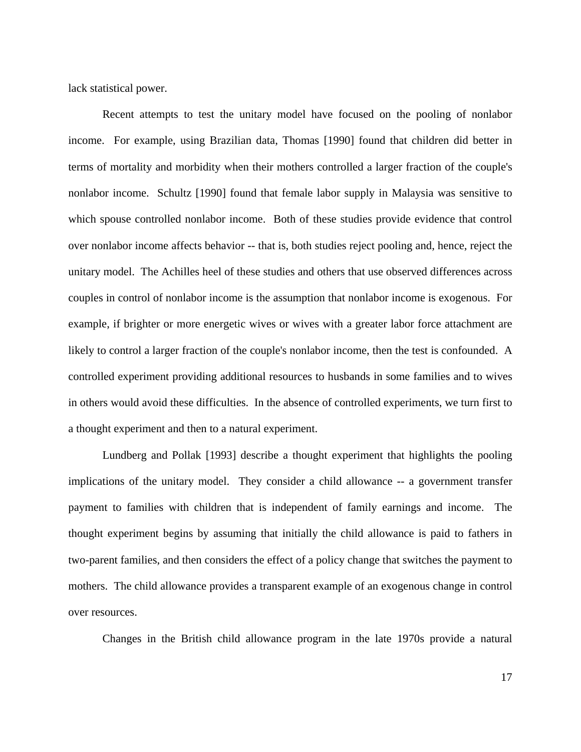lack statistical power.

Recent attempts to test the unitary model have focused on the pooling of nonlabor income. For example, using Brazilian data, Thomas [1990] found that children did better in terms of mortality and morbidity when their mothers controlled a larger fraction of the couple's nonlabor income. Schultz [1990] found that female labor supply in Malaysia was sensitive to which spouse controlled nonlabor income. Both of these studies provide evidence that control over nonlabor income affects behavior -- that is, both studies reject pooling and, hence, reject the unitary model. The Achilles heel of these studies and others that use observed differences across couples in control of nonlabor income is the assumption that nonlabor income is exogenous. For example, if brighter or more energetic wives or wives with a greater labor force attachment are likely to control a larger fraction of the couple's nonlabor income, then the test is confounded. A controlled experiment providing additional resources to husbands in some families and to wives in others would avoid these difficulties. In the absence of controlled experiments, we turn first to a thought experiment and then to a natural experiment.

Lundberg and Pollak [1993] describe a thought experiment that highlights the pooling implications of the unitary model. They consider a child allowance -- a government transfer payment to families with children that is independent of family earnings and income. The thought experiment begins by assuming that initially the child allowance is paid to fathers in two-parent families, and then considers the effect of a policy change that switches the payment to mothers. The child allowance provides a transparent example of an exogenous change in control over resources.

Changes in the British child allowance program in the late 1970s provide a natural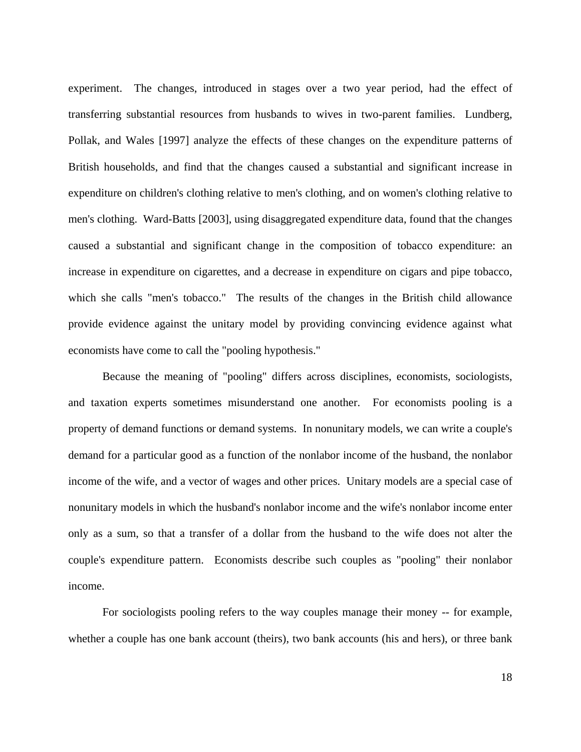experiment. The changes, introduced in stages over a two year period, had the effect of transferring substantial resources from husbands to wives in two-parent families. Lundberg, Pollak, and Wales [1997] analyze the effects of these changes on the expenditure patterns of British households, and find that the changes caused a substantial and significant increase in expenditure on children's clothing relative to men's clothing, and on women's clothing relative to men's clothing. Ward-Batts [2003], using disaggregated expenditure data, found that the changes caused a substantial and significant change in the composition of tobacco expenditure: an increase in expenditure on cigarettes, and a decrease in expenditure on cigars and pipe tobacco, which she calls "men's tobacco." The results of the changes in the British child allowance provide evidence against the unitary model by providing convincing evidence against what economists have come to call the "pooling hypothesis."

Because the meaning of "pooling" differs across disciplines, economists, sociologists, and taxation experts sometimes misunderstand one another. For economists pooling is a property of demand functions or demand systems. In nonunitary models, we can write a couple's demand for a particular good as a function of the nonlabor income of the husband, the nonlabor income of the wife, and a vector of wages and other prices. Unitary models are a special case of nonunitary models in which the husband's nonlabor income and the wife's nonlabor income enter only as a sum, so that a transfer of a dollar from the husband to the wife does not alter the couple's expenditure pattern. Economists describe such couples as "pooling" their nonlabor income.

For sociologists pooling refers to the way couples manage their money -- for example, whether a couple has one bank account (theirs), two bank accounts (his and hers), or three bank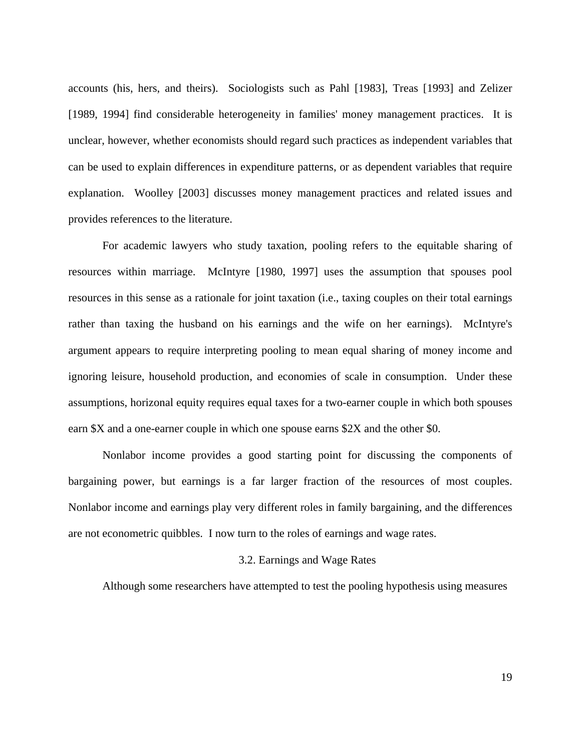accounts (his, hers, and theirs). Sociologists such as Pahl [1983], Treas [1993] and Zelizer [1989, 1994] find considerable heterogeneity in families' money management practices. It is unclear, however, whether economists should regard such practices as independent variables that can be used to explain differences in expenditure patterns, or as dependent variables that require explanation. Woolley [2003] discusses money management practices and related issues and provides references to the literature.

For academic lawyers who study taxation, pooling refers to the equitable sharing of resources within marriage. McIntyre [1980, 1997] uses the assumption that spouses pool resources in this sense as a rationale for joint taxation (i.e., taxing couples on their total earnings rather than taxing the husband on his earnings and the wife on her earnings). McIntyre's argument appears to require interpreting pooling to mean equal sharing of money income and ignoring leisure, household production, and economies of scale in consumption. Under these assumptions, horizonal equity requires equal taxes for a two-earner couple in which both spouses earn \$X and a one-earner couple in which one spouse earns \$2X and the other \$0.

Nonlabor income provides a good starting point for discussing the components of bargaining power, but earnings is a far larger fraction of the resources of most couples. Nonlabor income and earnings play very different roles in family bargaining, and the differences are not econometric quibbles. I now turn to the roles of earnings and wage rates.

#### 3.2. Earnings and Wage Rates

Although some researchers have attempted to test the pooling hypothesis using measures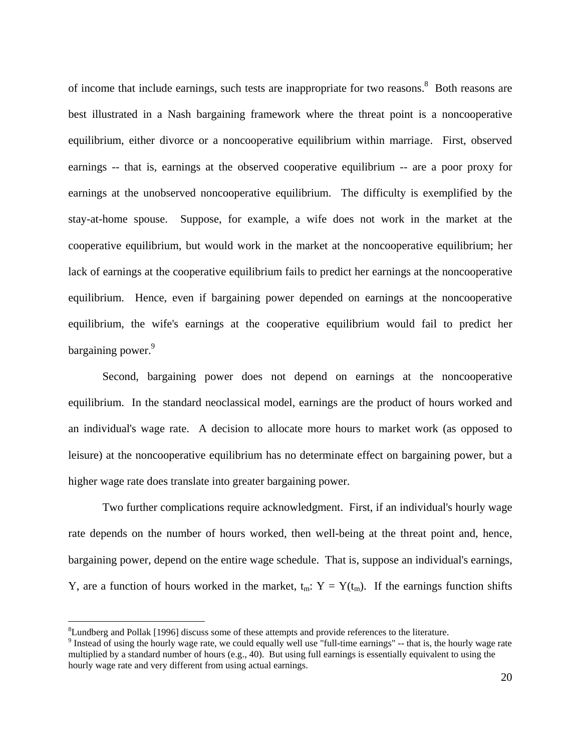of income that include earnings, such tests are inappropriate for two reasons.<sup>8</sup> Both reasons are best illustrated in a Nash bargaining framework where the threat point is a noncooperative equilibrium, either divorce or a noncooperative equilibrium within marriage. First, observed earnings -- that is, earnings at the observed cooperative equilibrium -- are a poor proxy for earnings at the unobserved noncooperative equilibrium. The difficulty is exemplified by the stay-at-home spouse. Suppose, for example, a wife does not work in the market at the cooperative equilibrium, but would work in the market at the noncooperative equilibrium; her lack of earnings at the cooperative equilibrium fails to predict her earnings at the noncooperative equilibrium. Hence, even if bargaining power depended on earnings at the noncooperative equilibrium, the wife's earnings at the cooperative equilibrium would fail to predict her bargaining power.<sup>9</sup>

Second, bargaining power does not depend on earnings at the noncooperative equilibrium. In the standard neoclassical model, earnings are the product of hours worked and an individual's wage rate. A decision to allocate more hours to market work (as opposed to leisure) at the noncooperative equilibrium has no determinate effect on bargaining power, but a higher wage rate does translate into greater bargaining power.

Two further complications require acknowledgment. First, if an individual's hourly wage rate depends on the number of hours worked, then well-being at the threat point and, hence, bargaining power, depend on the entire wage schedule. That is, suppose an individual's earnings, Y, are a function of hours worked in the market,  $t_m$ :  $Y = Y(t_m)$ . If the earnings function shifts

<sup>&</sup>lt;sup>8</sup>Lundberg and Pollak [1996] discuss some of these attempts and provide references to the literature.

<sup>&</sup>lt;sup>9</sup> Instead of using the hourly wage rate, we could equally well use "full-time earnings" -- that is, the hourly wage rate multiplied by a standard number of hours (e.g., 40). But using full earnings is essentially equivalent to using the hourly wage rate and very different from using actual earnings.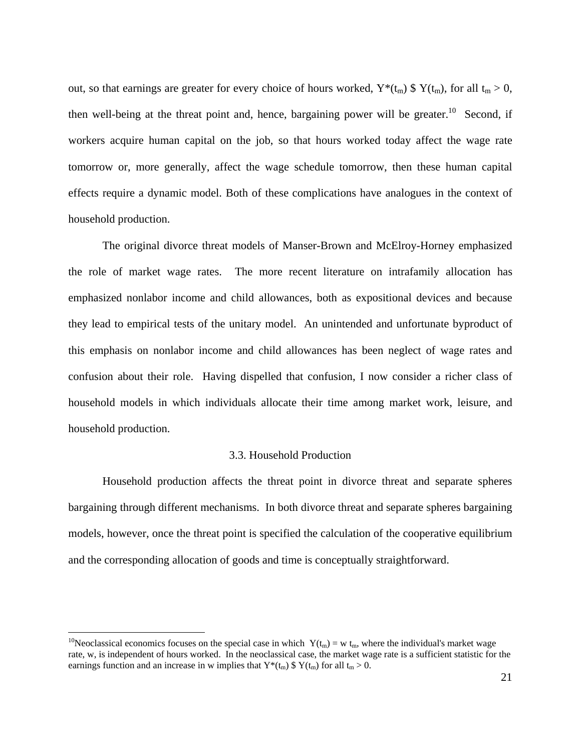out, so that earnings are greater for every choice of hours worked,  $Y^*(t_m) \$   $Y(t_m)$ , for all  $t_m > 0$ , then well-being at the threat point and, hence, bargaining power will be greater.<sup>10</sup> Second, if workers acquire human capital on the job, so that hours worked today affect the wage rate tomorrow or, more generally, affect the wage schedule tomorrow, then these human capital effects require a dynamic model. Both of these complications have analogues in the context of household production.

The original divorce threat models of Manser-Brown and McElroy-Horney emphasized the role of market wage rates. The more recent literature on intrafamily allocation has emphasized nonlabor income and child allowances, both as expositional devices and because they lead to empirical tests of the unitary model. An unintended and unfortunate byproduct of this emphasis on nonlabor income and child allowances has been neglect of wage rates and confusion about their role. Having dispelled that confusion, I now consider a richer class of household models in which individuals allocate their time among market work, leisure, and household production.

## 3.3. Household Production

Household production affects the threat point in divorce threat and separate spheres bargaining through different mechanisms. In both divorce threat and separate spheres bargaining models, however, once the threat point is specified the calculation of the cooperative equilibrium and the corresponding allocation of goods and time is conceptually straightforward.

<u>.</u>

<sup>&</sup>lt;sup>10</sup>Neoclassical economics focuses on the special case in which  $Y(t_m) = w t_m$ , where the individual's market wage rate, w, is independent of hours worked. In the neoclassical case, the market wage rate is a sufficient statistic for the earnings function and an increase in w implies that  $Y^*(t_m) \$  Y(t\_m) for all  $t_m > 0$ .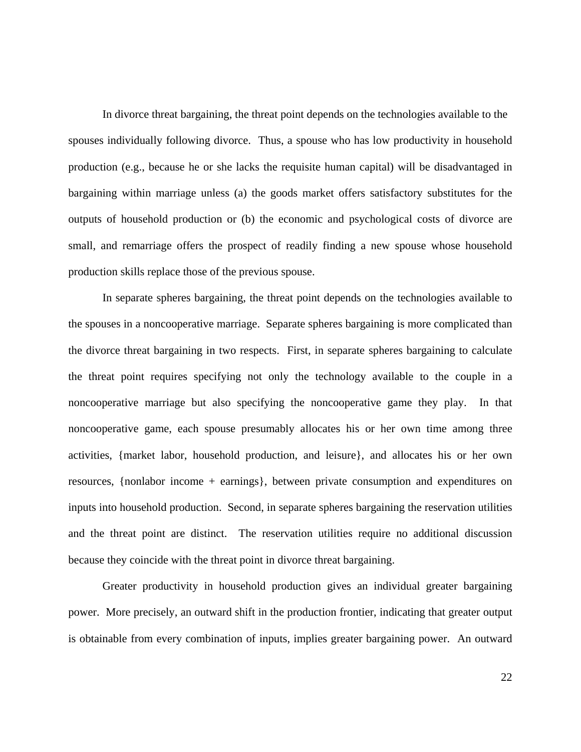In divorce threat bargaining, the threat point depends on the technologies available to the spouses individually following divorce. Thus, a spouse who has low productivity in household production (e.g., because he or she lacks the requisite human capital) will be disadvantaged in bargaining within marriage unless (a) the goods market offers satisfactory substitutes for the outputs of household production or (b) the economic and psychological costs of divorce are small, and remarriage offers the prospect of readily finding a new spouse whose household production skills replace those of the previous spouse.

In separate spheres bargaining, the threat point depends on the technologies available to the spouses in a noncooperative marriage. Separate spheres bargaining is more complicated than the divorce threat bargaining in two respects. First, in separate spheres bargaining to calculate the threat point requires specifying not only the technology available to the couple in a noncooperative marriage but also specifying the noncooperative game they play. In that noncooperative game, each spouse presumably allocates his or her own time among three activities, {market labor, household production, and leisure}, and allocates his or her own resources, {nonlabor income + earnings}, between private consumption and expenditures on inputs into household production. Second, in separate spheres bargaining the reservation utilities and the threat point are distinct. The reservation utilities require no additional discussion because they coincide with the threat point in divorce threat bargaining.

Greater productivity in household production gives an individual greater bargaining power. More precisely, an outward shift in the production frontier, indicating that greater output is obtainable from every combination of inputs, implies greater bargaining power. An outward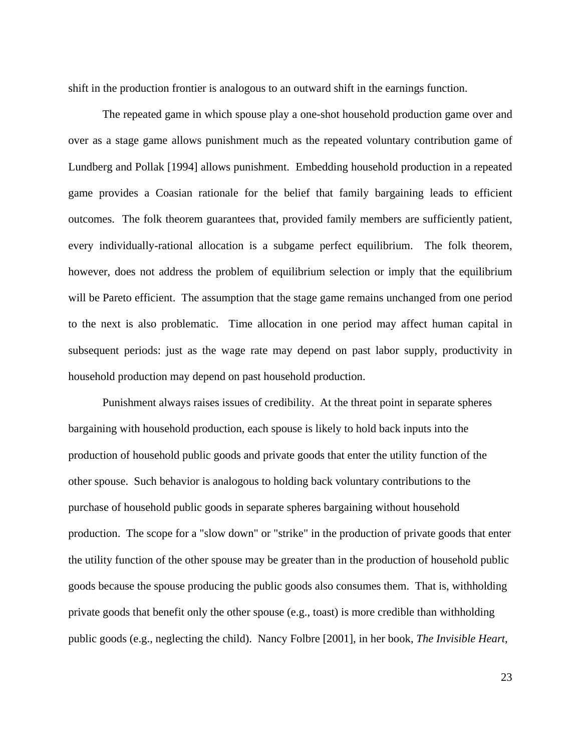shift in the production frontier is analogous to an outward shift in the earnings function.

The repeated game in which spouse play a one-shot household production game over and over as a stage game allows punishment much as the repeated voluntary contribution game of Lundberg and Pollak [1994] allows punishment. Embedding household production in a repeated game provides a Coasian rationale for the belief that family bargaining leads to efficient outcomes. The folk theorem guarantees that, provided family members are sufficiently patient, every individually-rational allocation is a subgame perfect equilibrium. The folk theorem, however, does not address the problem of equilibrium selection or imply that the equilibrium will be Pareto efficient. The assumption that the stage game remains unchanged from one period to the next is also problematic. Time allocation in one period may affect human capital in subsequent periods: just as the wage rate may depend on past labor supply, productivity in household production may depend on past household production.

Punishment always raises issues of credibility. At the threat point in separate spheres bargaining with household production, each spouse is likely to hold back inputs into the production of household public goods and private goods that enter the utility function of the other spouse. Such behavior is analogous to holding back voluntary contributions to the purchase of household public goods in separate spheres bargaining without household production. The scope for a "slow down" or "strike" in the production of private goods that enter the utility function of the other spouse may be greater than in the production of household public goods because the spouse producing the public goods also consumes them. That is, withholding private goods that benefit only the other spouse (e.g., toast) is more credible than withholding public goods (e.g., neglecting the child). Nancy Folbre [2001], in her book, *The Invisible Heart*,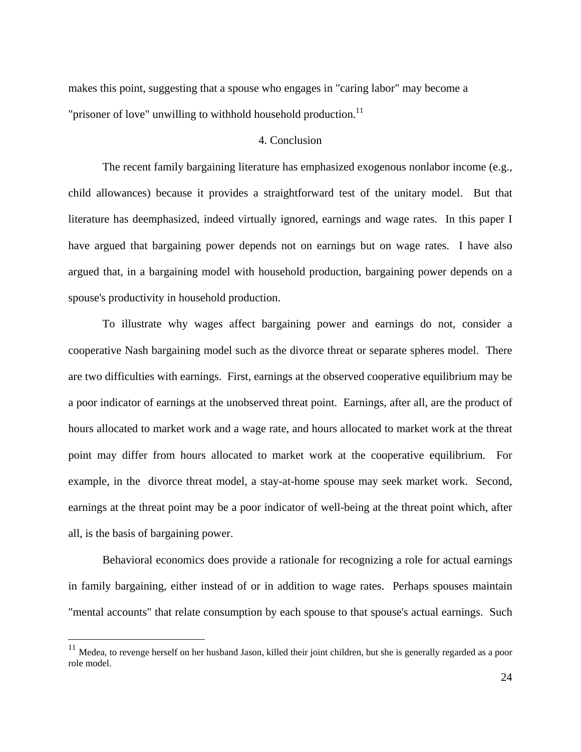makes this point, suggesting that a spouse who engages in "caring labor" may become a "prisoner of love" unwilling to withhold household production. $<sup>11</sup>$ </sup>

## 4. Conclusion

The recent family bargaining literature has emphasized exogenous nonlabor income (e.g., child allowances) because it provides a straightforward test of the unitary model. But that literature has deemphasized, indeed virtually ignored, earnings and wage rates. In this paper I have argued that bargaining power depends not on earnings but on wage rates. I have also argued that, in a bargaining model with household production, bargaining power depends on a spouse's productivity in household production.

To illustrate why wages affect bargaining power and earnings do not, consider a cooperative Nash bargaining model such as the divorce threat or separate spheres model. There are two difficulties with earnings. First, earnings at the observed cooperative equilibrium may be a poor indicator of earnings at the unobserved threat point. Earnings, after all, are the product of hours allocated to market work and a wage rate, and hours allocated to market work at the threat point may differ from hours allocated to market work at the cooperative equilibrium. For example, in the divorce threat model, a stay-at-home spouse may seek market work. Second, earnings at the threat point may be a poor indicator of well-being at the threat point which, after all, is the basis of bargaining power.

Behavioral economics does provide a rationale for recognizing a role for actual earnings in family bargaining, either instead of or in addition to wage rates. Perhaps spouses maintain "mental accounts" that relate consumption by each spouse to that spouse's actual earnings. Such

 $11$  Medea, to revenge herself on her husband Jason, killed their joint children, but she is generally regarded as a poor role model.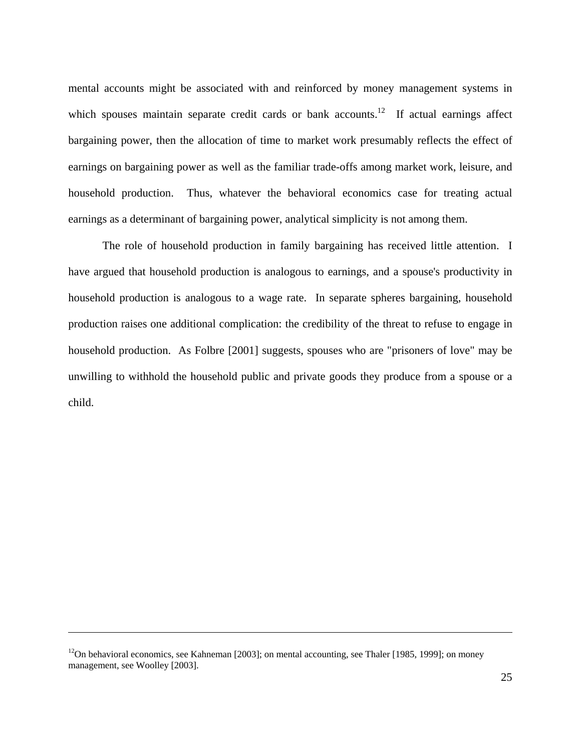mental accounts might be associated with and reinforced by money management systems in which spouses maintain separate credit cards or bank accounts.<sup>12</sup> If actual earnings affect bargaining power, then the allocation of time to market work presumably reflects the effect of earnings on bargaining power as well as the familiar trade-offs among market work, leisure, and household production. Thus, whatever the behavioral economics case for treating actual earnings as a determinant of bargaining power, analytical simplicity is not among them.

The role of household production in family bargaining has received little attention. I have argued that household production is analogous to earnings, and a spouse's productivity in household production is analogous to a wage rate. In separate spheres bargaining, household production raises one additional complication: the credibility of the threat to refuse to engage in household production. As Folbre [2001] suggests, spouses who are "prisoners of love" may be unwilling to withhold the household public and private goods they produce from a spouse or a child.

 $12$ On behavioral economics, see Kahneman [2003]; on mental accounting, see Thaler [1985, 1999]; on money management, see Woolley [2003].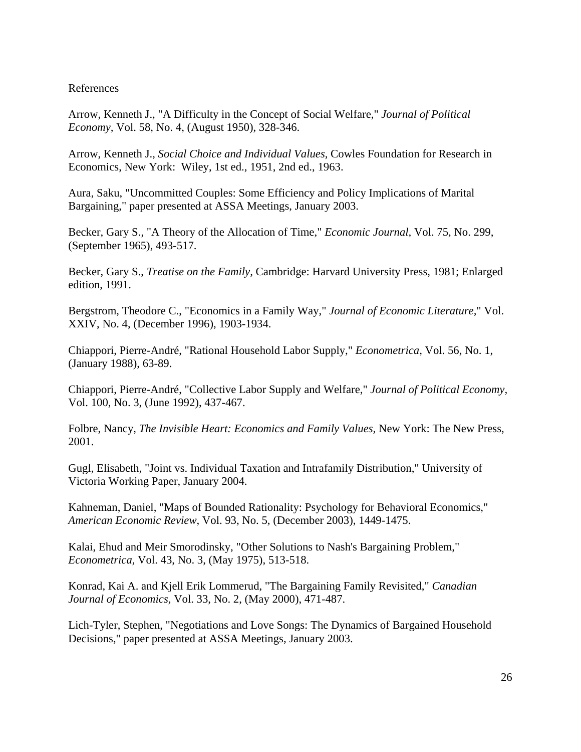## References

Arrow, Kenneth J., "A Difficulty in the Concept of Social Welfare," *Journal of Political Economy,* Vol. 58, No. 4, (August 1950), 328-346.

Arrow, Kenneth J., *Social Choice and Individual Values,* Cowles Foundation for Research in Economics, New York: Wiley, 1st ed., 1951, 2nd ed., 1963.

Aura, Saku, "Uncommitted Couples: Some Efficiency and Policy Implications of Marital Bargaining," paper presented at ASSA Meetings, January 2003.

Becker, Gary S., "A Theory of the Allocation of Time," *Economic Journal,* Vol. 75, No. 299, (September 1965), 493-517.

Becker, Gary S., *Treatise on the Family,* Cambridge: Harvard University Press, 1981; Enlarged edition, 1991.

Bergstrom, Theodore C., "Economics in a Family Way," *Journal of Economic Literature,*" Vol. XXIV, No. 4, (December 1996), 1903-1934.

Chiappori, Pierre-André, "Rational Household Labor Supply," *Econometrica,* Vol. 56, No. 1, (January 1988), 63-89.

Chiappori, Pierre-André, "Collective Labor Supply and Welfare," *Journal of Political Economy,* Vol. 100, No. 3, (June 1992), 437-467.

Folbre, Nancy, *The Invisible Heart: Economics and Family Values,* New York: The New Press, 2001.

Gugl, Elisabeth, "Joint vs. Individual Taxation and Intrafamily Distribution," University of Victoria Working Paper, January 2004.

Kahneman, Daniel, "Maps of Bounded Rationality: Psychology for Behavioral Economics," *American Economic Review*, Vol. 93, No. 5, (December 2003), 1449-1475.

Kalai, Ehud and Meir Smorodinsky, "Other Solutions to Nash's Bargaining Problem," *Econometrica,* Vol. 43, No. 3, (May 1975), 513-518.

Konrad, Kai A. and Kjell Erik Lommerud, "The Bargaining Family Revisited," *Canadian Journal of Economics,* Vol. 33, No. 2, (May 2000), 471-487.

Lich-Tyler, Stephen, "Negotiations and Love Songs: The Dynamics of Bargained Household Decisions," paper presented at ASSA Meetings, January 2003.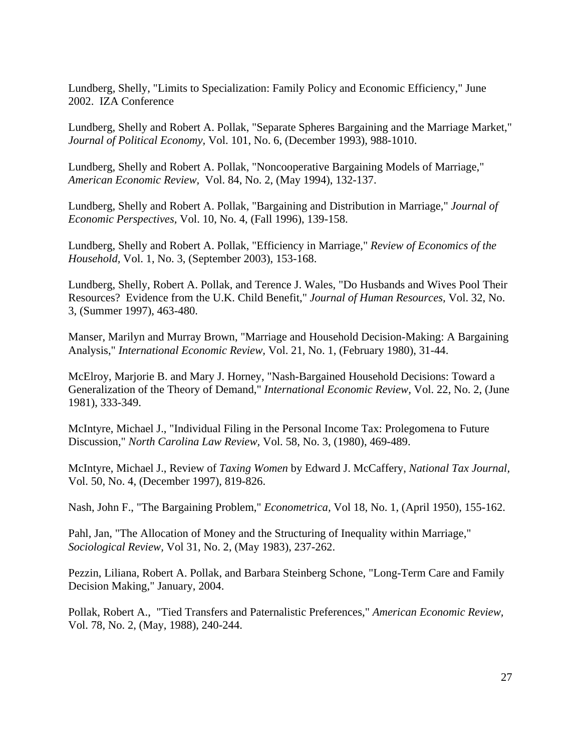Lundberg, Shelly, "Limits to Specialization: Family Policy and Economic Efficiency," June 2002. IZA Conference

Lundberg, Shelly and Robert A. Pollak, "Separate Spheres Bargaining and the Marriage Market," *Journal of Political Economy,* Vol. 101, No. 6, (December 1993), 988-1010.

Lundberg, Shelly and Robert A. Pollak, "Noncooperative Bargaining Models of Marriage," *American Economic Review,* Vol. 84, No. 2, (May 1994), 132-137.

Lundberg, Shelly and Robert A. Pollak, "Bargaining and Distribution in Marriage," *Journal of Economic Perspectives,* Vol. 10, No. 4, (Fall 1996), 139-158.

Lundberg, Shelly and Robert A. Pollak, "Efficiency in Marriage," *Review of Economics of the Household,* Vol. 1, No. 3, (September 2003), 153-168.

Lundberg, Shelly, Robert A. Pollak, and Terence J. Wales, "Do Husbands and Wives Pool Their Resources? Evidence from the U.K. Child Benefit," *Journal of Human Resources,* Vol. 32, No. 3, (Summer 1997), 463-480.

Manser, Marilyn and Murray Brown, "Marriage and Household Decision-Making: A Bargaining Analysis," *International Economic Review,* Vol. 21, No. 1, (February 1980), 31-44.

McElroy, Marjorie B. and Mary J. Horney, "Nash-Bargained Household Decisions: Toward a Generalization of the Theory of Demand," *International Economic Review,* Vol. 22, No. 2, (June 1981), 333-349.

McIntyre, Michael J., "Individual Filing in the Personal Income Tax: Prolegomena to Future Discussion," *North Carolina Law Review,* Vol. 58, No. 3, (1980), 469-489.

McIntyre, Michael J., Review of *Taxing Women* by Edward J. McCaffery, *National Tax Journal,* Vol. 50, No. 4, (December 1997), 819-826.

Nash, John F., "The Bargaining Problem," *Econometrica,* Vol 18, No. 1, (April 1950), 155-162.

Pahl, Jan, "The Allocation of Money and the Structuring of Inequality within Marriage," *Sociological Review,* Vol 31, No. 2, (May 1983), 237-262.

Pezzin, Liliana, Robert A. Pollak, and Barbara Steinberg Schone, "Long-Term Care and Family Decision Making," January, 2004.

Pollak, Robert A., "Tied Transfers and Paternalistic Preferences," *American Economic Review,* Vol. 78, No. 2, (May, 1988), 240-244.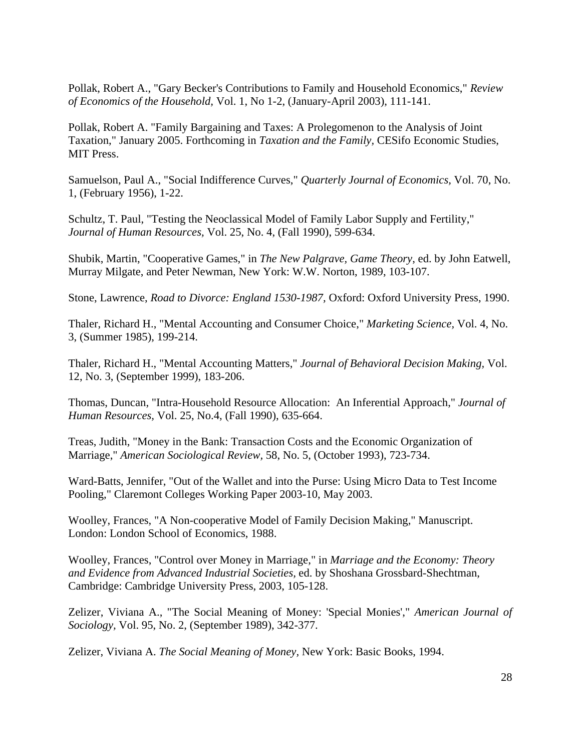Pollak, Robert A., "Gary Becker's Contributions to Family and Household Economics," *Review of Economics of the Household,* Vol. 1, No 1-2, (January-April 2003), 111-141.

Pollak, Robert A. "Family Bargaining and Taxes: A Prolegomenon to the Analysis of Joint Taxation," January 2005. Forthcoming in *Taxation and the Family,* CESifo Economic Studies, MIT Press.

Samuelson, Paul A., "Social Indifference Curves," *Quarterly Journal of Economics,* Vol. 70, No. 1, (February 1956), 1-22.

Schultz, T. Paul, "Testing the Neoclassical Model of Family Labor Supply and Fertility," *Journal of Human Resources,* Vol. 25, No. 4, (Fall 1990), 599-634.

Shubik, Martin, "Cooperative Games," in *The New Palgrave, Game Theory*, ed. by John Eatwell, Murray Milgate, and Peter Newman, New York: W.W. Norton, 1989, 103-107.

Stone, Lawrence, *Road to Divorce: England 1530-1987,* Oxford: Oxford University Press, 1990.

Thaler, Richard H., "Mental Accounting and Consumer Choice," *Marketing Science,* Vol. 4, No. 3, (Summer 1985), 199-214.

Thaler, Richard H., "Mental Accounting Matters," *Journal of Behavioral Decision Making,* Vol. 12, No. 3, (September 1999), 183-206.

Thomas, Duncan, "Intra-Household Resource Allocation: An Inferential Approach," *Journal of Human Resources,* Vol. 25, No.4, (Fall 1990), 635-664.

Treas, Judith, "Money in the Bank: Transaction Costs and the Economic Organization of Marriage," *American Sociological Review,* 58, No. 5, (October 1993), 723-734.

Ward-Batts, Jennifer, "Out of the Wallet and into the Purse: Using Micro Data to Test Income Pooling," Claremont Colleges Working Paper 2003-10, May 2003.

Woolley, Frances, "A Non-cooperative Model of Family Decision Making," Manuscript. London: London School of Economics, 1988.

Woolley, Frances, "Control over Money in Marriage," in *Marriage and the Economy: Theory and Evidence from Advanced Industrial Societies,* ed. by Shoshana Grossbard-Shechtman, Cambridge: Cambridge University Press, 2003, 105-128.

Zelizer, Viviana A., "The Social Meaning of Money: 'Special Monies'," *American Journal of Sociology,* Vol. 95, No. 2, (September 1989), 342-377.

Zelizer, Viviana A. *The Social Meaning of Money,* New York: Basic Books, 1994.